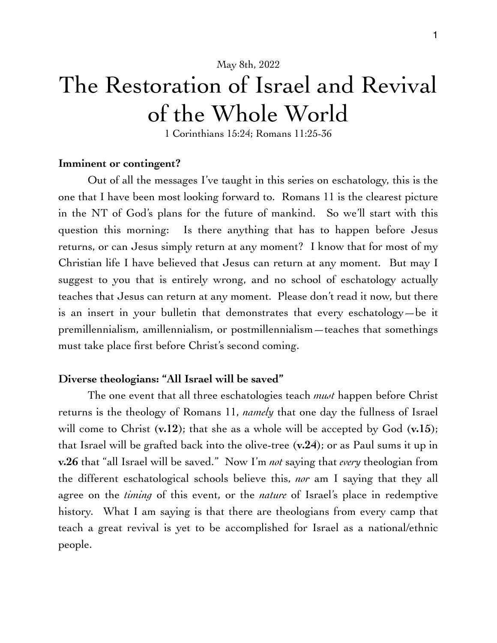May 8th, 2022

# The Restoration of Israel and Revival of the Whole World

1 Corinthians 15:24; Romans 11:25-36

#### **Imminent or contingent?**

Out of all the messages I've taught in this series on eschatology, this is the one that I have been most looking forward to. Romans 11 is the clearest picture in the NT of God's plans for the future of mankind. So we'll start with this question this morning: Is there anything that has to happen before Jesus returns, or can Jesus simply return at any moment? I know that for most of my Christian life I have believed that Jesus can return at any moment. But may I suggest to you that is entirely wrong, and no school of eschatology actually teaches that Jesus can return at any moment. Please don't read it now, but there is an insert in your bulletin that demonstrates that every eschatology—be it premillennialism, amillennialism, or postmillennialism—teaches that somethings must take place first before Christ's second coming.

#### **Diverse theologians: "All Israel will be saved"**

The one event that all three eschatologies teach *must* happen before Christ returns is the theology of Romans 11, *namely* that one day the fullness of Israel will come to Christ (**v.12**); that she as a whole will be accepted by God (**v.15**); that Israel will be grafted back into the olive-tree (**v.24**); or as Paul sums it up in **v.26** that "all Israel will be saved." Now I'm *not* saying that *every* theologian from the different eschatological schools believe this, *nor* am I saying that they all agree on the *timing* of this event, or the *nature* of Israel's place in redemptive history. What I am saying is that there are theologians from every camp that teach a great revival is yet to be accomplished for Israel as a national/ethnic people.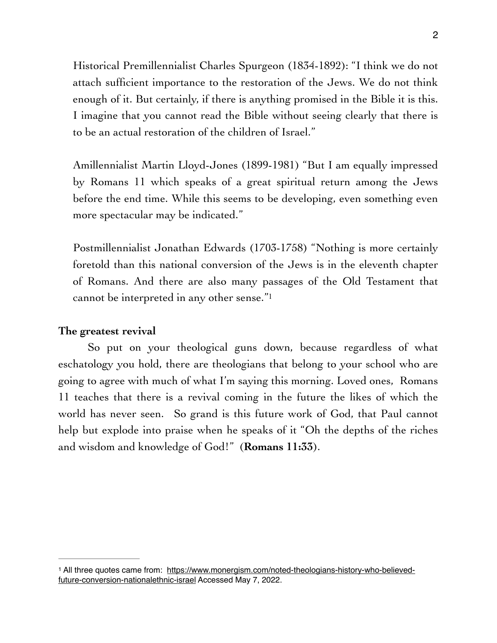Historical Premillennialist Charles Spurgeon (1834-1892): "I think we do not attach sufficient importance to the restoration of the Jews. We do not think enough of it. But certainly, if there is anything promised in the Bible it is this. I imagine that you cannot read the Bible without seeing clearly that there is to be an actual restoration of the children of Israel."

Amillennialist Martin Lloyd-Jones (1899-1981) "But I am equally impressed by Romans 11 which speaks of a great spiritual return among the Jews before the end time. While this seems to be developing, even something even more spectacular may be indicated."

<span id="page-1-1"></span>Postmillennialist Jonathan Edwards (1703-1758) "Nothing is more certainly foretold than this national conversion of the Jews is in the eleventh chapter of Romans. And there are also many passages of the Old Testament that cannot be interpreted in any other sense."[1](#page-1-0)

#### **The greatest revival**

So put on your theological guns down, because regardless of what eschatology you hold, there are theologians that belong to your school who are going to agree with much of what I'm saying this morning. Loved ones, Romans 11 teaches that there is a revival coming in the future the likes of which the world has never seen. So grand is this future work of God, that Paul cannot help but explode into praise when he speaks of it "Oh the depths of the riches and wisdom and knowledge of God!" (**Romans 11:33**).

<span id="page-1-0"></span><sup>&</sup>lt;sup>1</sup> [All three quotes came from: https://www.monergism.com/noted-theologians-history-who-believed](https://www.monergism.com/noted-theologians-history-who-believed-future-conversion-nationalethnic-israel) [future-conversion-nationalethnic-israel](https://www.monergism.com/noted-theologians-history-who-believed-future-conversion-nationalethnic-israel) Accessed May 7, 2022.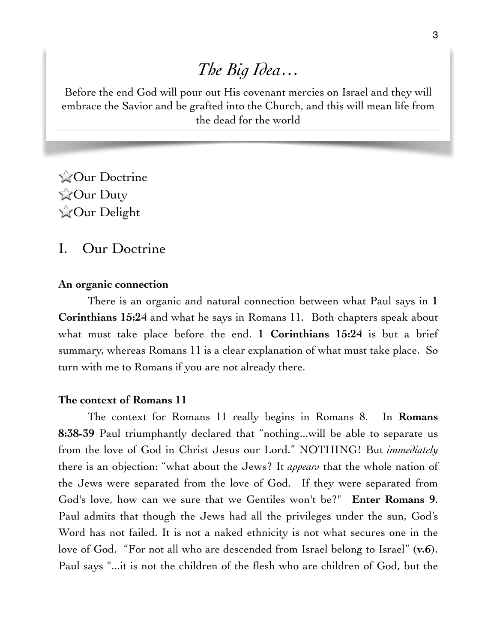# *The Big Idea…*

Before the end God will pour out His covenant mercies on Israel and they will embrace the Savior and be grafted into the Church, and this will mean life from the dead for the world

**ZOur Doctrine ZOur Duty** Our Delight

## I. Our Doctrine

#### **An organic connection**

There is an organic and natural connection between what Paul says in **1 Corinthians 15:24** and what he says in Romans 11. Both chapters speak about what must take place before the end. **1 Corinthians 15:24** is but a brief summary, whereas Romans 11 is a clear explanation of what must take place. So turn with me to Romans if you are not already there.

#### **The context of Romans 11**

The context for Romans 11 really begins in Romans 8. In **Romans 8:38-39** Paul triumphantly declared that "nothing...will be able to separate us from the love of God in Christ Jesus our Lord." NOTHING! But *immediately*  there is an objection: "what about the Jews? It *appears* that the whole nation of the Jews were separated from the love of God. If they were separated from God's love, how can we sure that we Gentiles won't be?" **Enter Romans 9**. Paul admits that though the Jews had all the privileges under the sun, God's Word has not failed. It is not a naked ethnicity is not what secures one in the love of God. "For not all who are descended from Israel belong to Israel" (**v.6**). Paul says "...it is not the children of the flesh who are children of God, but the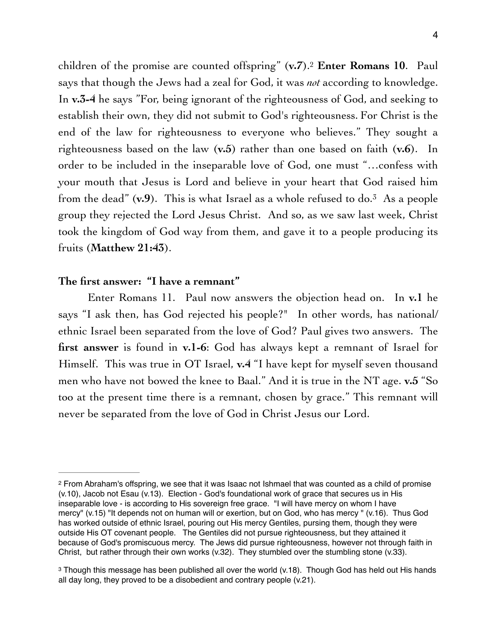<span id="page-3-2"></span>children of the promise are counted offspring" (**v.7**).<sup>[2](#page-3-0)</sup> Enter Romans 10. Paul says that though the Jews had a zeal for God, it was *not* according to knowledge. In **v.3-4** he says "For, being ignorant of the righteousness of God, and seeking to establish their own, they did not submit to God's righteousness. For Christ is the end of the law for righteousness to everyone who believes." They sought a righteousness based on the law (**v.5**) rather than one based on faith (**v.6**). In order to be included in the inseparable love of God, one must "…confess with your mouth that Jesus is Lord and believe in your heart that God raised him from the dead"  $(v.9)$  $(v.9)$  $(v.9)$ . This is what Israel as a whole refused to do.<sup>[3](#page-3-1)</sup> As a people group they rejected the Lord Jesus Christ. And so, as we saw last week, Christ took the kingdom of God way from them, and gave it to a people producing its fruits (**Matthew 21:43**).

#### <span id="page-3-3"></span>**The first answer: "I have a remnant"**

Enter Romans 11. Paul now answers the objection head on. In **v.1** he says "I ask then, has God rejected his people?" In other words, has national/ ethnic Israel been separated from the love of God? Paul gives two answers. The **first answer** is found in **v.1-6**: God has always kept a remnant of Israel for Himself. This was true in OT Israel, **v.4** "I have kept for myself seven thousand men who have not bowed the knee to Baal." And it is true in the NT age. **v.5** "So too at the present time there is a remnant, chosen by grace." This remnant will never be separated from the love of God in Christ Jesus our Lord.

<span id="page-3-0"></span>From Abraham's offspring, we see that it was Isaac not Ishmael that was counted as a child of promise [2](#page-3-2) (v.10), Jacob not Esau (v.13). Election - God's foundational work of grace that secures us in His inseparable love - is according to His sovereign free grace. "I will have mercy on whom I have mercy" (v.15) "It depends not on human will or exertion, but on God, who has mercy " (v.16). Thus God has worked outside of ethnic Israel, pouring out His mercy Gentiles, pursing them, though they were outside His OT covenant people. The Gentiles did not pursue righteousness, but they attained it because of God's promiscuous mercy. The Jews did pursue righteousness, however not through faith in Christ, but rather through their own works (v.32). They stumbled over the stumbling stone (v.33).

<span id="page-3-1"></span><sup>&</sup>lt;sup>3</sup>Though this message has been published all over the world (v.18). Though God has held out His hands all day long, they proved to be a disobedient and contrary people (v.21).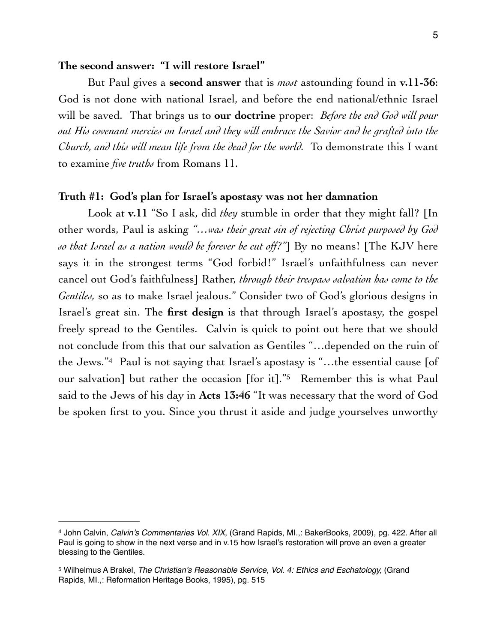#### **The second answer: "I will restore Israel"**

But Paul gives a **second answer** that is *most* astounding found in **v.11-36**: God is not done with national Israel, and before the end national/ethnic Israel will be saved. That brings us to **our doctrine** proper: *Before the end God will pour out His covenant mercies on Israel and they will embrace the Savior and be grafted into the Church, and this will mean life from the dead for the world.* To demonstrate this I want to examine *five truths* from Romans 11.

#### **Truth #1: God's plan for Israel's apostasy was not her damnation**

<span id="page-4-2"></span>Look at **v.11** "So I ask, did *they* stumble in order that they might fall? [In other words, Paul is asking *"…was their great sin of rejecting Christ purposed by God so that Israel as a nation would be forever be cut off?"*] By no means! [The KJV here says it in the strongest terms "God forbid!" Israel's unfaithfulness can never cancel out God's faithfulness] Rather, *through their trespass salvation has come to the Gentiles,* so as to make Israel jealous." Consider two of God's glorious designs in Israel's great sin. The **first design** is that through Israel's apostasy, the gospel freely spread to the Gentiles. Calvin is quick to point out here that we should not conclude from this that our salvation as Gentiles "…depended on the ruin of theJews." $4$  Paul is not saying that Israel's apostasy is "...the essential cause [of our salvation] but rather the occasion [for it]."<sup>[5](#page-4-1)</sup> Remember this is what Paul said to the Jews of his day in **Acts 13:46** "It was necessary that the word of God be spoken first to you. Since you thrust it aside and judge yourselves unworthy

<span id="page-4-3"></span><span id="page-4-0"></span>John Calvin, *Calvin's Commentaries Vol. XIX*, (Grand Rapids, MI.,: BakerBooks, 2009), pg. 422. After all [4](#page-4-2) Paul is going to show in the next verse and in v.15 how Israel's restoration will prove an even a greater blessing to the Gentiles.

<span id="page-4-1"></span><sup>&</sup>lt;sup>[5](#page-4-3)</sup> Wilhelmus A Brakel, *The Christian's Reasonable Service, Vol. 4: Ethics and Eschatology, (Grand* Rapids, MI.,: Reformation Heritage Books, 1995), pg. 515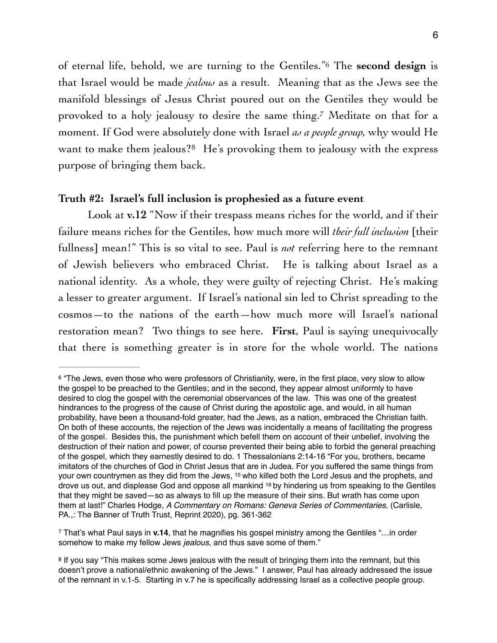<span id="page-5-4"></span><span id="page-5-3"></span>of eternal life, behold, we are turning to the Gentiles.<sup>"6</sup> The **second design** is that Israel would be made *jealous* as a result. Meaning that as the Jews see the manifold blessings of Jesus Christ poured out on the Gentiles they would be provoked to a holy jealousy to desire the same thing.<sup>[7](#page-5-1)</sup> Meditate on that for a moment. If God were absolutely done with Israel *as a people group,* why would He want to make them jealous?<sup>[8](#page-5-2)</sup> He's provoking them to jealousy with the express purpose of bringing them back.

#### <span id="page-5-5"></span>**Truth #2: Israel's full inclusion is prophesied as a future event**

Look at **v.12** "Now if their trespass means riches for the world, and if their failure means riches for the Gentiles, how much more will *their full inclusion* [their fullness] mean!" This is so vital to see. Paul is *not* referring here to the remnant of Jewish believers who embraced Christ. He is talking about Israel as a national identity. As a whole, they were guilty of rejecting Christ. He's making a lesser to greater argument. If Israel's national sin led to Christ spreading to the cosmos—to the nations of the earth—how much more will Israel's national restoration mean? Two things to see here. **First**, Paul is saying unequivocally that there is something greater is in store for the whole world. The nations

<span id="page-5-0"></span><sup>&</sup>lt;sup>6</sup>"The Jews, even those who were professors of Christianity, were, in the first place, very slow to allow the gospel to be preached to the Gentiles; and in the second, they appear almost uniformly to have desired to clog the gospel with the ceremonial observances of the law. This was one of the greatest hindrances to the progress of the cause of Christ during the apostolic age, and would, in all human probability, have been a thousand-fold greater, had the Jews, as a nation, embraced the Christian faith. On both of these accounts, the rejection of the Jews was incidentally a means of facilitating the progress of the gospel. Besides this, the punishment which befell them on account of their unbelief, involving the destruction of their nation and power, of course prevented their being able to forbid the general preaching of the gospel, which they earnestly desired to do. 1 Thessalonians 2:14-16 "For you, brothers, became imitators of the churches of God in Christ Jesus that are in Judea. For you suffered the same things from your own countrymen as they did from the Jews, 15 who killed both the Lord Jesus and the prophets, and drove us out, and displease God and oppose all mankind 16 by hindering us from speaking to the Gentiles that they might be saved—so as always to fill up the measure of their sins. But wrath has come upon them at last!" Charles Hodge, *A Commentary on Romans: Geneva Series of Commentaries,* (Carlisle, PA.,: The Banner of Truth Trust, Reprint 2020), pg. 361-362

<span id="page-5-1"></span>That's what Paul says in **v.14**, that he magnifies his gospel ministry among the Gentiles "…in order [7](#page-5-4) somehow to make my fellow Jews *jealous*, and thus save some of them."

<span id="page-5-2"></span><sup>&</sup>lt;sup>8</sup>If you say "This makes some Jews jealous with the result of bringing them into the remnant, but this doesn't prove a national/ethnic awakening of the Jews." I answer, Paul has already addressed the issue of the remnant in v.1-5. Starting in v.7 he is specifically addressing Israel as a collective people group.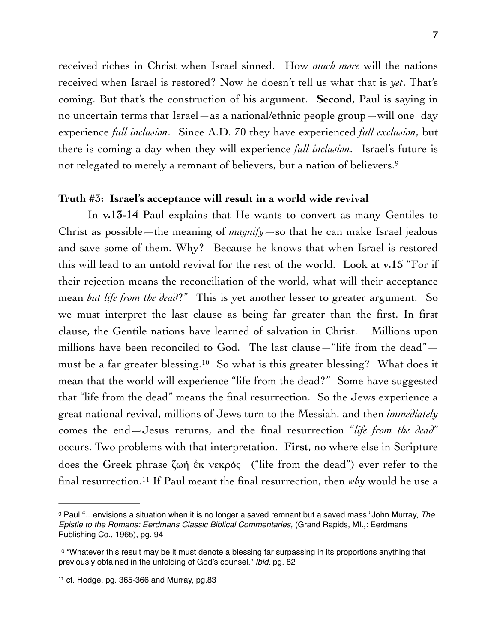received riches in Christ when Israel sinned. How *much more* will the nations received when Israel is restored? Now he doesn't tell us what that is *yet*. That's coming. But that's the construction of his argument. **Second**, Paul is saying in no uncertain terms that Israel—as a national/ethnic people group—will one day experience *full inclusion*. Since A.D. 70 they have experienced *full exclusion*, but there is coming a day when they will experience *full inclusion*. Israel's future is not relegated to merely a remnant of believers, but a nation of believers.[9](#page-6-0)

#### <span id="page-6-3"></span>**Truth #3: Israel's acceptance will result in a world wide revival**

<span id="page-6-4"></span>In **v.13-14** Paul explains that He wants to convert as many Gentiles to Christ as possible—the meaning of *magnify*—so that he can make Israel jealous and save some of them. Why? Because he knows that when Israel is restored this will lead to an untold revival for the rest of the world. Look at **v.15** "For if their rejection means the reconciliation of the world, what will their acceptance mean *but life from the dead*?" This is yet another lesser to greater argument. So we must interpret the last clause as being far greater than the first. In first clause, the Gentile nations have learned of salvation in Christ. Millions upon millions have been reconciled to God. The last clause—"life from the dead"— mustbe a far greater blessing.<sup>[10](#page-6-1)</sup> So what is this greater blessing? What does it mean that the world will experience "life from the dead?" Some have suggested that "life from the dead" means the final resurrection. So the Jews experience a great national revival, millions of Jews turn to the Messiah, and then *immediately*  comes the end—Jesus returns, and the final resurrection "*life from the dead*" occurs. Two problems with that interpretation. **First**, no where else in Scripture does the Greek phrase ζωή ἐκ νεκρός ("life from the dead") ever refer to the final resurrection[.](#page-6-2)<sup>11</sup> If Paul meant the final resurrection, then *why* would he use a

<span id="page-6-5"></span><span id="page-6-0"></span>Paul "…envisions a situation when it is no longer a saved remnant but a saved mass."John Murray, *The* [9](#page-6-3) *Epistle to the Romans: Eerdmans Classic Biblical Commentaries,* (Grand Rapids, MI.,: Eerdmans Publishing Co., 1965), pg. 94

<span id="page-6-1"></span><sup>&</sup>lt;sup>[10](#page-6-4)</sup> "Whatever this result may be it must denote a blessing far surpassing in its proportions anything that previously obtained in the unfolding of God's counsel." *Ibid,* pg. 82

<span id="page-6-2"></span>[<sup>11</sup>](#page-6-5) cf. Hodge, pg. 365-366 and Murray, pg.83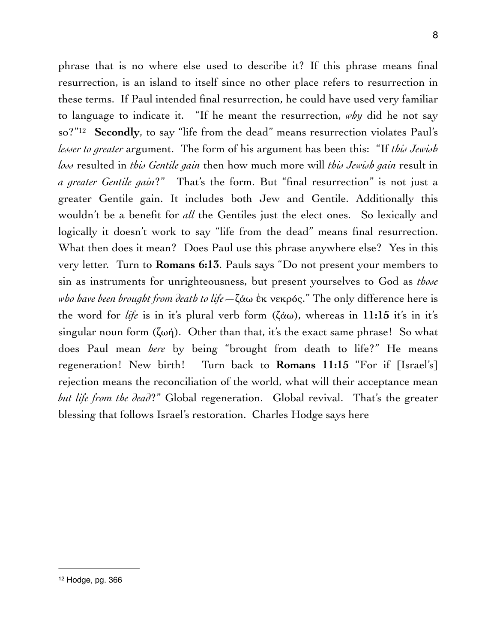<span id="page-7-1"></span><span id="page-7-0"></span>phrase that is no where else used to describe it? If this phrase means final resurrection, is an island to itself since no other place refers to resurrection in these terms. If Paul intended final resurrection, he could have used very familiar to language to indicate it. "If he meant the resurrection, *why* did he not say so?"<sup>12</sup> Secondly, to say "life from the dead" means resurrection violates Paul's *lesser to greater* argument. The form of his argument has been this: "If *this Jewish loss* resulted in *this Gentile gain* then how much more will *this Jewish gain* result in *a greater Gentile gain*?" That's the form. But "final resurrection" is not just a greater Gentile gain. It includes both Jew and Gentile. Additionally this wouldn't be a benefit for *all* the Gentiles just the elect ones. So lexically and logically it doesn't work to say "life from the dead" means final resurrection. What then does it mean? Does Paul use this phrase anywhere else? Yes in this very letter. Turn to **Romans 6:13**. Pauls says "Do not present your members to sin as instruments for unrighteousness, but present yourselves to God as *those who have been brought from death to life*—ζάω ἐκ νεκρός." The only difference here is the word for *life* is in it's plural verb form (ζάω), whereas in **11:15** it's in it's singular noun form  $(\zeta \omega \eta)$ . Other than that, it's the exact same phrase! So what does Paul mean *here* by being "brought from death to life?" He means regeneration! New birth! Turn back to **Romans 11:15** "For if [Israel's] rejection means the reconciliation of the world, what will their acceptance mean *but life from the dead*?" Global regeneration. Global revival. That's the greater blessing that follows Israel's restoration. Charles Hodge says here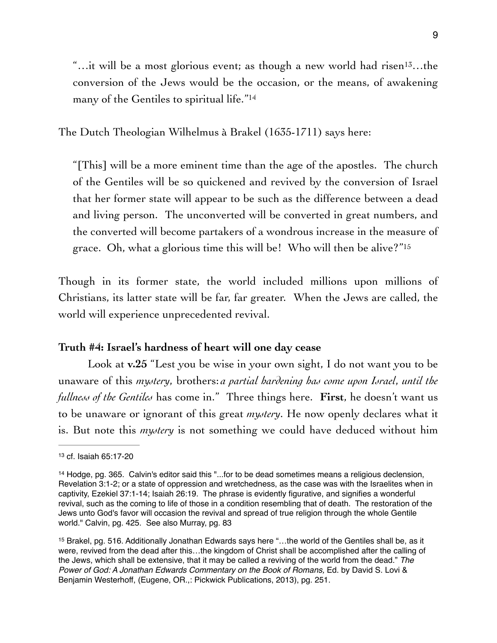<span id="page-8-4"></span><span id="page-8-3"></span>"...it will be a most glorious event; as though a new world had risen<sup>[13](#page-8-0)</sup>...the conversion of the Jews would be the occasion, or the means, of awakening many of the Gentiles to spiritual life."<sup>14</sup>

The Dutch Theologian Wilhelmus à Brakel (1635-1711) says here:

<span id="page-8-5"></span>"[This] will be a more eminent time than the age of the apostles. The church of the Gentiles will be so quickened and revived by the conversion of Israel that her former state will appear to be such as the difference between a dead and living person. The unconverted will be converted in great numbers, and the converted will become partakers of a wondrous increase in the measure of grace. Oh, what a glorious time this will be! Who will then be alive?["15](#page-8-2)

Though in its former state, the world included millions upon millions of Christians, its latter state will be far, far greater. When the Jews are called, the world will experience unprecedented revival.

#### **Truth #4: Israel's hardness of heart will one day cease**

Look at **v.25** "Lest you be wise in your own sight, I do not want you to be unaware of this *mystery*, brothers: *a partial hardening has come upon Israel*, *until the fullness of the Gentiles* has come in." Three things here. **First**, he doesn't want us to be unaware or ignorant of this great *mystery*. He now openly declares what it is. But note this *mystery* is not something we could have deduced without him

<span id="page-8-0"></span>[<sup>13</sup>](#page-8-3) cf. Isaiah 65:17-20

<span id="page-8-1"></span><sup>&</sup>lt;sup>[14](#page-8-4)</sup> Hodge, pg. 365. Calvin's editor said this "...for to be dead sometimes means a religious declension, Revelation 3:1-2; or a state of oppression and wretchedness, as the case was with the Israelites when in captivity, Ezekiel 37:1-14; Isaiah 26:19. The phrase is evidently figurative, and signifies a wonderful revival, such as the coming to life of those in a condition resembling that of death. The restoration of the Jews unto God's favor will occasion the revival and spread of true religion through the whole Gentile world." Calvin, pg. 425. See also Murray, pg. 83

<span id="page-8-2"></span><sup>&</sup>lt;sup>[15](#page-8-5)</sup> Brakel, pg. 516. Additionally Jonathan Edwards says here "...the world of the Gentiles shall be, as it were, revived from the dead after this…the kingdom of Christ shall be accomplished after the calling of the Jews, which shall be extensive, that it may be called a reviving of the world from the dead." *The Power of God: A Jonathan Edwards Commentary on the Book of Romans, Ed. by David S. Lovi &* Benjamin Westerhoff, (Eugene, OR.,: Pickwick Publications, 2013), pg. 251.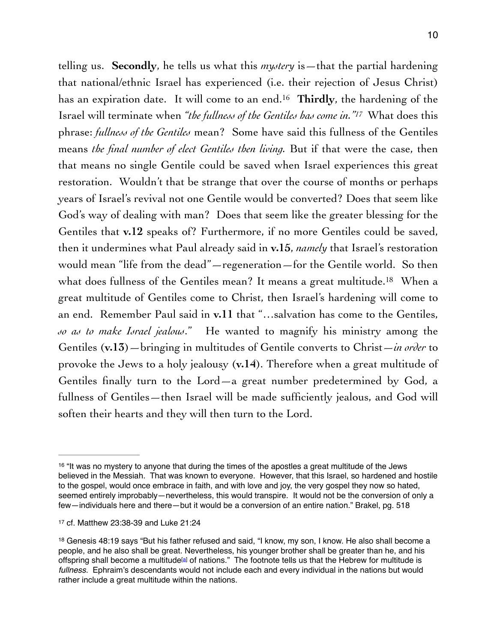<span id="page-9-4"></span><span id="page-9-3"></span>telling us. **Secondly**, he tells us what this *mystery* is—that the partial hardening that national/ethnic Israel has experienced (i.e. their rejection of Jesus Christ) has an expiration date. It will come to an end.<sup>16</sup> Thirdly, the hardening of the Israel will terminate when ["](#page-9-1)the fullness of the Gentiles has come in."<sup>17</sup> What does this phrase: *fullness of the Gentiles* mean? Some have said this fullness of the Gentiles means *the final number of elect Gentiles then living.* But if that were the case, then that means no single Gentile could be saved when Israel experiences this great restoration. Wouldn't that be strange that over the course of months or perhaps years of Israel's revival not one Gentile would be converted? Does that seem like God's way of dealing with man? Does that seem like the greater blessing for the Gentiles that **v.12** speaks of? Furthermore, if no more Gentiles could be saved, then it undermines what Paul already said in **v.15**, *namely* that Israel's restoration would mean "life from the dead"—regeneration—for the Gentile world. So then what does fullness of the Gentiles mean? It means a great multitude.<sup>[18](#page-9-2)</sup> When a great multitude of Gentiles come to Christ, then Israel's hardening will come to an end. Remember Paul said in **v.11** that "…salvation has come to the Gentiles, *so as to make Israel jealous*." He wanted to magnify his ministry among the Gentiles (**v.13**)—bringing in multitudes of Gentile converts to Christ—*in order* to provoke the Jews to a holy jealousy (**v.14**). Therefore when a great multitude of Gentiles finally turn to the Lord—a great number predetermined by God, a fullness of Gentiles—then Israel will be made sufficiently jealous, and God will soften their hearts and they will then turn to the Lord.

<span id="page-9-5"></span><span id="page-9-0"></span> $16$  "It was no mystery to anyone that during the times of the apostles a great multitude of the Jews believed in the Messiah. That was known to everyone. However, that this Israel, so hardened and hostile to the gospel, would once embrace in faith, and with love and joy, the very gospel they now so hated, seemed entirely improbably—nevertheless, this would transpire. It would not be the conversion of only a few—individuals here and there—but it would be a conversion of an entire nation." Brakel, pg. 518

<span id="page-9-1"></span>[<sup>17</sup>](#page-9-4) cf. Matthew 23:38-39 and Luke 21:24

<span id="page-9-2"></span><sup>&</sup>lt;sup>[18](#page-9-5)</sup> Genesis 48:19 says "But his father refused and said, "I know, my son, I know. He also shall become a people, and he also shall be great. Nevertheless, his younger brother shall be greater than he, and his offspring shall become a multitude<sup>[\[a](https://www.biblegateway.com/passage/?search=genesis+48%3A19%3B+Isaiah+31%3A4&version=ESV#fen-ESV-1471a)]</sup> of nations." The footnote tells us that the Hebrew for multitude is *fullness.* Ephraim's descendants would not include each and every individual in the nations but would rather include a great multitude within the nations.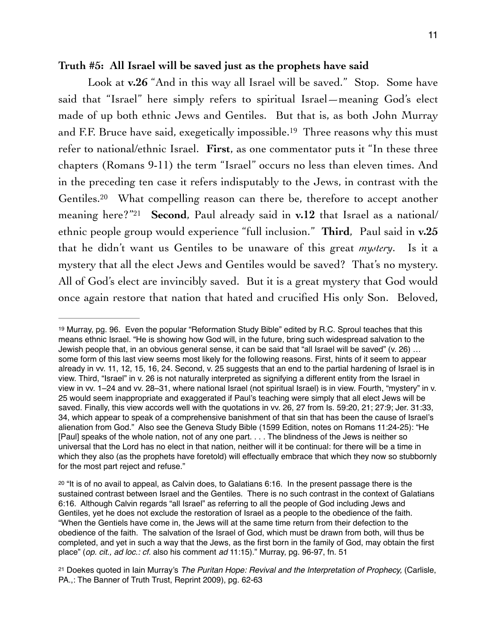#### **Truth #5: All Israel will be saved just as the prophets have said**

<span id="page-10-4"></span><span id="page-10-3"></span>Look at **v.26** "And in this way all Israel will be saved." Stop. Some have said that "Israel" here simply refers to spiritual Israel—meaning God's elect made of up both ethnic Jews and Gentiles. But that is, as both John Murray and F[.](#page-10-0)F. Bruce have said, exegetically impossible.<sup>[19](#page-10-0)</sup> Three reasons why this must refer to national/ethnic Israel. **First**, as one commentator puts it "In these three chapters (Romans 9-11) the term "Israel" occurs no less than eleven times. And in the preceding ten case it refers indisputably to the Jews, in contrast with the Gentiles.<sup>[20](#page-10-1)</sup> What compelling reason can there be, therefore to accept another meaning here?"<sup>21</sup> Second, Paul already said in **v.12** that Israel as a national/ ethnic people group would experience "full inclusion." **Third**, Paul said in **v.25**  that he didn't want us Gentiles to be unaware of this great *mystery*. Is it a mystery that all the elect Jews and Gentiles would be saved? That's no mystery. All of God's elect are invincibly saved. But it is a great mystery that God would once again restore that nation that hated and crucified His only Son. Beloved,

<span id="page-10-5"></span><span id="page-10-0"></span> $19$  Murray, pg. 96. Even the popular "Reformation Study Bible" edited by R.C. Sproul teaches that this means ethnic Israel. "He is showing how God will, in the future, bring such widespread salvation to the Jewish people that, in an obvious general sense, it can be said that "all Israel will be saved" (v. 26) … some form of this last view seems most likely for the following reasons. First, hints of it seem to appear already in vv. 11, 12, 15, 16, 24. Second, v. 25 suggests that an end to the partial hardening of Israel is in view. Third, "Israel" in v. 26 is not naturally interpreted as signifying a different entity from the Israel in view in vv. 1–24 and vv. 28–31, where national Israel (not spiritual Israel) is in view. Fourth, "mystery" in v. 25 would seem inappropriate and exaggerated if Paul's teaching were simply that all elect Jews will be saved. Finally, this view accords well with the quotations in vv. 26, 27 from Is. 59:20, 21; 27:9; Jer. 31:33, 34, which appear to speak of a comprehensive banishment of that sin that has been the cause of Israel's alienation from God." Also see the Geneva Study Bible (1599 Edition, notes on Romans 11:24-25): "He [Paul] speaks of the whole nation, not of any one part. . . . The blindness of the Jews is neither so universal that the Lord has no elect in that nation, neither will it be continual: for there will be a time in which they also (as the prophets have foretold) will effectually embrace that which they now so stubbornly for the most part reject and refuse."

<span id="page-10-1"></span> $20$  "It is of no avail to appeal, as Calvin does, to Galatians 6:16. In the present passage there is the sustained contrast between Israel and the Gentiles. There is no such contrast in the context of Galatians 6:16. Although Calvin regards "all Israel" as referring to all the people of God including Jews and Gentiles, yet he does not exclude the restoration of Israel as a people to the obedience of the faith. "When the Gentiels have come in, the Jews will at the same time return from their defection to the obedience of the faith. The salvation of the Israel of God, which must be drawn from both, will thus be completed, and yet in such a way that the Jews, as the first born in the family of God, may obtain the first place" (*op. cit., ad loc.: cf.* also his comment *ad* 11:15)." Murray, pg. 96-97, fn. 51

<span id="page-10-2"></span><sup>&</sup>lt;sup>[21](#page-10-5)</sup> Doekes quoted in Iain Murray's *The Puritan Hope: Revival and the Interpretation of Prophecy, (Carlisle, 21)* PA.,: The Banner of Truth Trust, Reprint 2009), pg. 62-63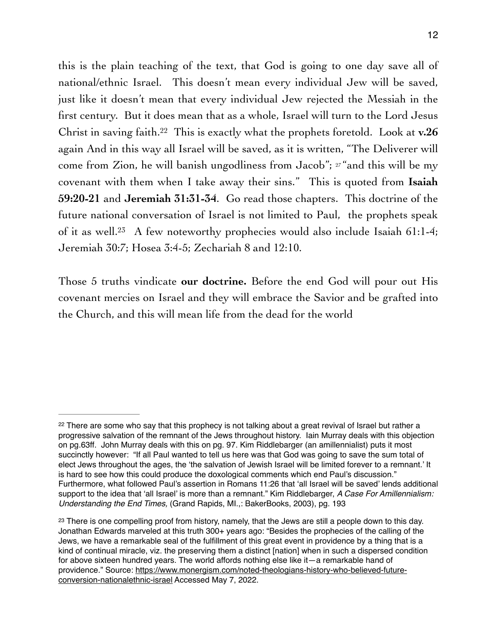<span id="page-11-2"></span>this is the plain teaching of the text, that God is going to one day save all of national/ethnic Israel. This doesn't mean every individual Jew will be saved, just like it doesn't mean that every individual Jew rejected the Messiah in the first century. But it does mean that as a whole, Israel will turn to the Lord Jesus Christ in saving faith.<sup>22</sup> This is exactly what the prophets foretold[.](#page-11-0) Look at  $v.26$ again And in this way all Israel will be saved, as it is written, "The Deliverer will come from Zion, he will banish ungodliness from Jacob"; 27 "and this will be my covenant with them when I take away their sins." This is quoted from **Isaiah 59:20-21** and **Jeremiah 31:31-34**. Go read those chapters. This doctrine of the future national conversation of Israel is not limited to Paul, the prophets speak of it as well[.](#page-11-1)<sup>[23](#page-11-1)</sup> A few noteworthy prophecies would also include Isaiah 61:1-4; Jeremiah 30:7; Hosea 3:4-5; Zechariah 8 and 12:10.

<span id="page-11-3"></span>Those 5 truths vindicate **our doctrine.** Before the end God will pour out His covenant mercies on Israel and they will embrace the Savior and be grafted into the Church, and this will mean life from the dead for the world

<span id="page-11-0"></span><sup>&</sup>lt;sup>[22](#page-11-2)</sup> There are some who say that this prophecy is not talking about a great revival of Israel but rather a progressive salvation of the remnant of the Jews throughout history. Iain Murray deals with this objection on pg.63ff. John Murray deals with this on pg. 97. Kim Riddlebarger (an amillennialist) puts it most succinctly however: "If all Paul wanted to tell us here was that God was going to save the sum total of elect Jews throughout the ages, the 'the salvation of Jewish Israel will be limited forever to a remnant.' It is hard to see how this could produce the doxological comments which end Paul's discussion." Furthermore, what followed Paul's assertion in Romans 11:26 that 'all Israel will be saved' lends additional support to the idea that 'all Israel' is more than a remnant." Kim Riddlebarger, *A Case For Amillennialism: Understanding the End Times,* (Grand Rapids, MI.,: BakerBooks, 2003), pg. 193

<span id="page-11-1"></span><sup>&</sup>lt;sup>[23](#page-11-3)</sup> There is one compelling proof from history, namely, that the Jews are still a people down to this day. Jonathan Edwards marveled at this truth 300+ years ago: "Besides the prophecies of the calling of the Jews, we have a remarkable seal of the fulfillment of this great event in providence by a thing that is a kind of continual miracle, viz. the preserving them a distinct [nation] when in such a dispersed condition for above sixteen hundred years. The world affords nothing else like it—a remarkable hand of [providence." Source: https://www.monergism.com/noted-theologians-history-who-believed-future](https://www.monergism.com/noted-theologians-history-who-believed-future-conversion-nationalethnic-israel)[conversion-nationalethnic-israel](https://www.monergism.com/noted-theologians-history-who-believed-future-conversion-nationalethnic-israel) Accessed May 7, 2022.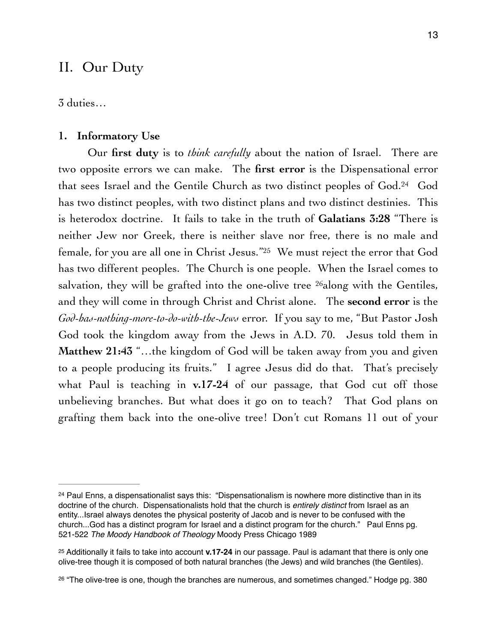### II. Our Duty

3 duties…

#### **1. Informatory Use**

<span id="page-12-5"></span><span id="page-12-4"></span><span id="page-12-3"></span>Our **first duty** is to *think carefully* about the nation of Israel. There are two opposite errors we can make. The **first error** is the Dispensational error that sees Israel and the Gentile Church as two distinct peoples of God.<sup>[24](#page-12-0)</sup> God has two distinct peoples, with two distinct plans and two distinct destinies. This is heterodox doctrine. It fails to take in the truth of **Galatians 3:28** "There is neither Jew nor Greek, there is neither slave nor free, there is no male and female, for you are all one in Christ Jesus."<sup>[25](#page-12-1)</sup> We must reject the error that God has two different peoples. The Church is one people. When the Israel comes to salvation, they will be grafted into the one-olive tree  $^{26}$  $^{26}$  $^{26}$ along with the Gentiles, and they will come in through Christ and Christ alone. The **second error** is the *God-has-nothing-more-to-do-with-the-Jews* error. If you say to me, "But Pastor Josh God took the kingdom away from the Jews in A.D. 70. Jesus told them in **Matthew 21:43** "…the kingdom of God will be taken away from you and given to a people producing its fruits." I agree Jesus did do that. That's precisely what Paul is teaching in **v.17-24** of our passage, that God cut off those unbelieving branches. But what does it go on to teach? That God plans on grafting them back into the one-olive tree! Don't cut Romans 11 out of your

<span id="page-12-0"></span> $24$  Paul Enns, a dispensationalist says this: "Dispensationalism is nowhere more distinctive than in its doctrine of the church. Dispensationalists hold that the church is *entirely distinct* from Israel as an entity...Israel always denotes the physical posterity of Jacob and is never to be confused with the church...God has a distinct program for Israel and a distinct program for the church." Paul Enns pg. 521-522 *The Moody Handbook of Theology* Moody Press Chicago 1989

<span id="page-12-1"></span><sup>&</sup>lt;sup>[25](#page-12-4)</sup> Additionally it fails to take into account **v.17-24** in our passage. Paul is adamant that there is only one olive-tree though it is composed of both natural branches (the Jews) and wild branches (the Gentiles).

<span id="page-12-2"></span> $26$  "The olive-tree is one, though the branches are numerous, and sometimes changed." Hodge pg. 380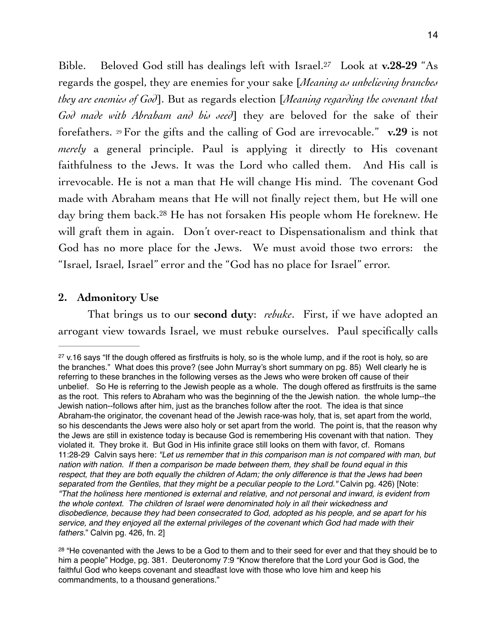<span id="page-13-2"></span>Bible. Beloved God still has dealings left with Israel.<sup>27</sup> Look at **v.28-29** "As regards the gospel, they are enemies for your sake [*Meaning as unbelieving branches they are enemies of God*]. But as regards election [*Meaning regarding the covenant that God made with Abraham and his seed*] they are beloved for the sake of their forefathers. 29 For the gifts and the calling of God are irrevocable." **v.29** is not *merely* a general principle. Paul is applying it directly to His covenant faithfulness to the Jews. It was the Lord who called them. And His call is irrevocable. He is not a man that He will change His mind. The covenant God made with Abraham means that He will not finally reject them, but He will one day bring them back.<sup>28</sup> He has not forsaken His people whom He foreknew[.](#page-13-1) He will graft them in again. Don't over-react to Dispensationalism and think that God has no more place for the Jews. We must avoid those two errors: the "Israel, Israel, Israel" error and the "God has no place for Israel" error.

#### <span id="page-13-3"></span>**2. Admonitory Use**

That brings us to our **second duty**: *rebuke*. First, if we have adopted an arrogant view towards Israel, we must rebuke ourselves. Paul specifically calls

<span id="page-13-0"></span> $27$  v.16 says "If the dough offered as firstfruits is holy, so is the whole lump, and if the root is holy, so are the branches." What does this prove? (see John Murray's short summary on pg. 85) Well clearly he is referring to these branches in the following verses as the Jews who were broken off cause of their unbelief. So He is referring to the Jewish people as a whole. The dough offered as firstfruits is the same as the root. This refers to Abraham who was the beginning of the the Jewish nation. the whole lump--the Jewish nation--follows after him, just as the branches follow after the root. The idea is that since Abraham-the originator, the covenant head of the Jewish race-was holy, that is, set apart from the world, so his descendants the Jews were also holy or set apart from the world. The point is, that the reason why the Jews are still in existence today is because God is remembering His covenant with that nation. They violated it. They broke it. But God in His infinite grace still looks on them with favor, cf. Romans 11:28-29 Calvin says here: *"Let us remember that in this comparison man is not compared with man, but nation with nation. If then a comparison be made between them, they shall be found equal in this respect, that they are both equally the children of Adam; the only difference is that the Jews had been separated from the Gentiles, that they might be a peculiar people to the Lord."* Calvin pg. 426) [Note: *"That the holiness here mentioned is external and relative, and not personal and inward, is evident from the whole context. The children of Israel were denominated holy in all their wickedness and disobedience, because they had been consecrated to God, adopted as his people, and se apart for his service, and they enjoyed all the external privileges of the covenant which God had made with their fathers.*" Calvin pg. 426, fn. 2]

<span id="page-13-1"></span><sup>&</sup>lt;sup>[28](#page-13-3)</sup> "He covenanted with the Jews to be a God to them and to their seed for ever and that they should be to him a people" Hodge, pg. 381. Deuteronomy 7:9 "Know therefore that the Lord your God is God, the faithful God who keeps covenant and steadfast love with those who love him and keep his commandments, to a thousand generations."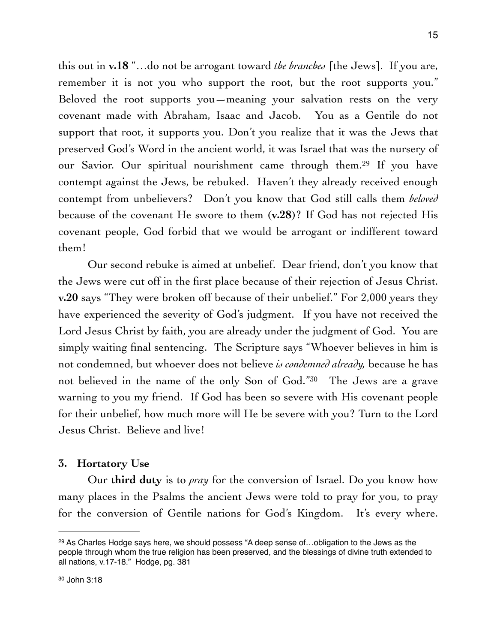<span id="page-14-2"></span>this out in **v.18** "…do not be arrogant toward *the branches* [the Jews]. If you are, remember it is not you who support the root, but the root supports you." Beloved the root supports you—meaning your salvation rests on the very covenant made with Abraham, Isaac and Jacob. You as a Gentile do not support that root, it supports you. Don't you realize that it was the Jews that preserved God's Word in the ancient world, it was Israel that was the nursery of our Savior[.](#page-14-0) Our spiritual nourishment came through them.<sup>[29](#page-14-0)</sup> If you have contempt against the Jews, be rebuked. Haven't they already received enough contempt from unbelievers? Don't you know that God still calls them *beloved*  because of the covenant He swore to them (**v.28**)? If God has not rejected His covenant people, God forbid that we would be arrogant or indifferent toward them!

Our second rebuke is aimed at unbelief. Dear friend, don't you know that the Jews were cut off in the first place because of their rejection of Jesus Christ. **v.20** says "They were broken off because of their unbelief." For 2,000 years they have experienced the severity of God's judgment. If you have not received the Lord Jesus Christ by faith, you are already under the judgment of God. You are simply waiting final sentencing. The Scripture says "Whoever believes in him is not condemned, but whoever does not believe *is condemned already,* because he has not believed in the name of the only Son of God.["](#page-14-1)<sup>[30](#page-14-1)</sup> The Jews are a grave warning to you my friend. If God has been so severe with His covenant people for their unbelief, how much more will He be severe with you? Turn to the Lord Jesus Christ. Believe and live!

#### <span id="page-14-3"></span>**3. Hortatory Use**

Our **third duty** is to *pray* for the conversion of Israel. Do you know how many places in the Psalms the ancient Jews were told to pray for you, to pray for the conversion of Gentile nations for God's Kingdom. It's every where.

<span id="page-14-1"></span><span id="page-14-0"></span> $29$  As Charles Hodge says here, we should possess "A deep sense of...obligation to the Jews as the people through whom the true religion has been preserved, and the blessings of divine truth extended to all nations, v.17-18." Hodge, pg. 381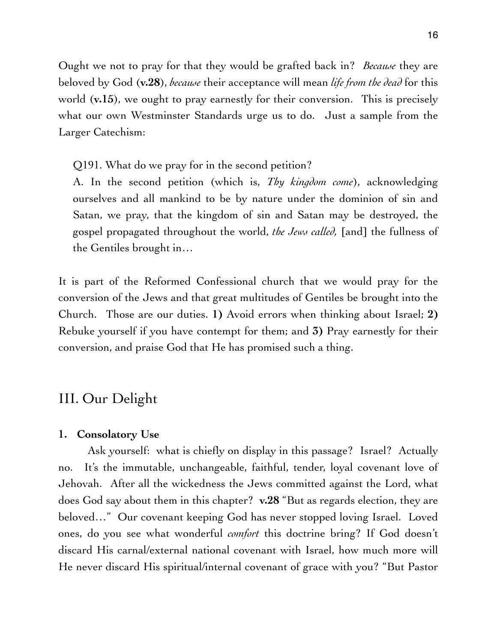Ought we not to pray for that they would be grafted back in? *Because* they are beloved by God (**v.28**), *because* their acceptance will mean *life from the dead* for this world (**v.15**), we ought to pray earnestly for their conversion. This is precisely what our own Westminster Standards urge us to do. Just a sample from the Larger Catechism:

Q191. What do we pray for in the second petition?

A. In the second petition (which is, *Thy kingdom come*), acknowledging ourselves and all mankind to be by nature under the dominion of sin and Satan, we pray, that the kingdom of sin and Satan may be destroyed, the gospel propagated throughout the world, *the Jews called,* [and] the fullness of the Gentiles brought in…

It is part of the Reformed Confessional church that we would pray for the conversion of the Jews and that great multitudes of Gentiles be brought into the Church. Those are our duties. **1)** Avoid errors when thinking about Israel; **2)** Rebuke yourself if you have contempt for them; and **3)** Pray earnestly for their conversion, and praise God that He has promised such a thing.

# III. Our Delight

#### **1. Consolatory Use**

Ask yourself: what is chiefly on display in this passage? Israel? Actually no. It's the immutable, unchangeable, faithful, tender, loyal covenant love of Jehovah. After all the wickedness the Jews committed against the Lord, what does God say about them in this chapter? **v.28** "But as regards election, they are beloved…" Our covenant keeping God has never stopped loving Israel. Loved ones, do you see what wonderful *comfort* this doctrine bring? If God doesn't discard His carnal/external national covenant with Israel, how much more will He never discard His spiritual/internal covenant of grace with you? "But Pastor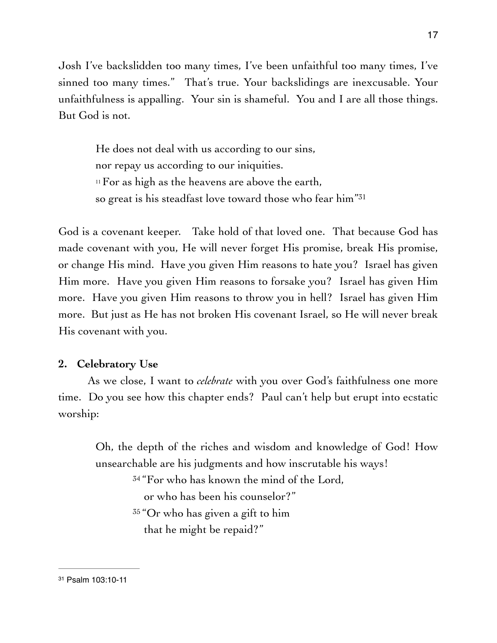Josh I've backslidden too many times, I've been unfaithful too many times, I've sinned too many times." That's true. Your backslidings are inexcusable. Your unfaithfulness is appalling. Your sin is shameful. You and I are all those things. But God is not.

<span id="page-16-1"></span>He does not deal with us according to our sins, nor repay us according to our iniquities.  $11$  For as high as the heavens are above the earth, so great is his steadfast love toward those who fear him"[31](#page-16-0)

God is a covenant keeper. Take hold of that loved one. That because God has made covenant with you, He will never forget His promise, break His promise, or change His mind. Have you given Him reasons to hate you? Israel has given Him more. Have you given Him reasons to forsake you? Israel has given Him more. Have you given Him reasons to throw you in hell? Israel has given Him more. But just as He has not broken His covenant Israel, so He will never break His covenant with you.

#### **2. Celebratory Use**

As we close, I want to *celebrate* with you over God's faithfulness one more time. Do you see how this chapter ends? Paul can't help but erupt into ecstatic worship:

Oh, the depth of the riches and wisdom and knowledge of God! How unsearchable are his judgments and how inscrutable his ways! <sup>34</sup> "For who has known the mind of the Lord, or who has been his counselor?" 35 "Or who has given a gift to him that he might be repaid?"

<span id="page-16-0"></span>[<sup>31</sup>](#page-16-1) Psalm 103:10-11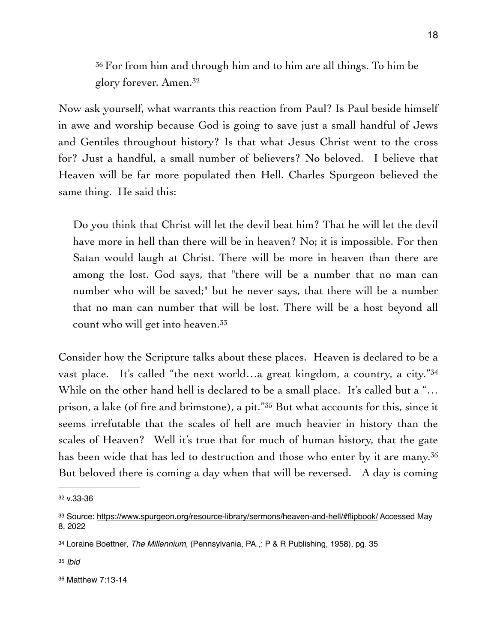<span id="page-17-5"></span><sup>36</sup> For from him and through him and to him are all things. To him be glory forever. Amen[.](#page-17-0) [32](#page-17-0)

Now ask yourself, what warrants this reaction from Paul? Is Paul beside himself in awe and worship because God is going to save just a small handful of Jews and Gentiles throughout history? Is that what Jesus Christ went to the cross for? Just a handful, a small number of believers? No beloved. I believe that Heaven will be far more populated then Hell. Charles Spurgeon believed the same thing. He said this:

Do you think that Christ will let the devil beat him? That he will let the devil have more in hell than there will be in heaven? No; it is impossible. For then Satan would laugh at Christ. There will be more in heaven than there are among the lost. God says, that "there will be a number that no man can number who will be saved;" but he never says, that there will be a number that no man can number that will be lost. There will be a host beyond all count who will get into heaven.[33](#page-17-1)

<span id="page-17-8"></span><span id="page-17-7"></span><span id="page-17-6"></span>Consider how the Scripture talks about these places. Heaven is declared to be a vast place. It's called "the next world...a great kingdom, a country, a city."[34](#page-17-2) While on the other hand hell is declared to be a small place. It's called but a "... prison, a lake (of fire and brimstone), a pit." $35$  But what accounts for this, since it seems irrefutable that the scales of hell are much heavier in history than the scales of Heaven? Well it's true that for much of human history, that the gate has been wide that has led to destruction and those who enter by it are many.<sup>[36](#page-17-4)</sup> But beloved there is coming a day when that will be reversed. A day is coming

<span id="page-17-9"></span><span id="page-17-0"></span>[<sup>32</sup>](#page-17-5) v.33-36

<span id="page-17-1"></span><sup>33</sup> Source:<https://www.spurgeon.org/resource-library/sermons/heaven-and-hell/#flipbook/>Accessed May 8, 2022

<span id="page-17-2"></span>[<sup>34</sup>](#page-17-7) Loraine Boettner, *The Millennium,* (Pennsylvania, PA.,: P & R Publishing, 1958), pg. 35

<span id="page-17-3"></span>[<sup>35</sup>](#page-17-8) *Ibid*

<span id="page-17-4"></span>[<sup>36</sup>](#page-17-9) Matthew 7:13-14